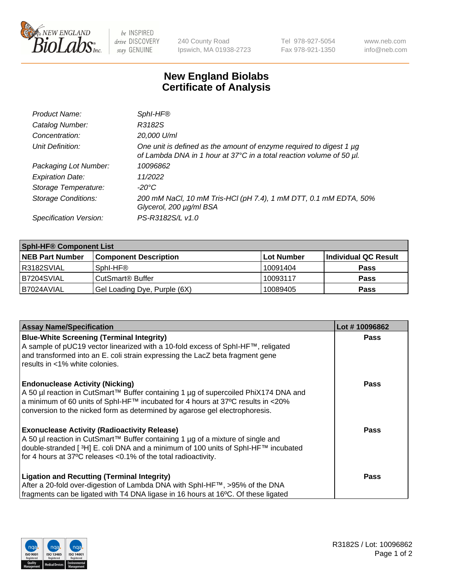

 $be$  INSPIRED drive DISCOVERY stay GENUINE

240 County Road Ipswich, MA 01938-2723 Tel 978-927-5054 Fax 978-921-1350 www.neb.com info@neb.com

## **New England Biolabs Certificate of Analysis**

| Product Name:              | Sphl-HF®                                                                                                                                         |
|----------------------------|--------------------------------------------------------------------------------------------------------------------------------------------------|
| Catalog Number:            | R3182S                                                                                                                                           |
| Concentration:             | 20,000 U/ml                                                                                                                                      |
| Unit Definition:           | One unit is defined as the amount of enzyme required to digest 1 $\mu$ g<br>of Lambda DNA in 1 hour at 37°C in a total reaction volume of 50 µl. |
| Packaging Lot Number:      | 10096862                                                                                                                                         |
| <b>Expiration Date:</b>    | 11/2022                                                                                                                                          |
| Storage Temperature:       | -20°C                                                                                                                                            |
| <b>Storage Conditions:</b> | 200 mM NaCl, 10 mM Tris-HCl (pH 7.4), 1 mM DTT, 0.1 mM EDTA, 50%<br>Glycerol, 200 µg/ml BSA                                                      |
| Specification Version:     | PS-R3182S/L v1.0                                                                                                                                 |

| <b>Sphl-HF® Component List</b> |                              |            |                      |  |  |
|--------------------------------|------------------------------|------------|----------------------|--|--|
| <b>NEB Part Number</b>         | <b>Component Description</b> | Lot Number | Individual QC Result |  |  |
| R3182SVIAL                     | Sphl-HF®                     | 10091404   | <b>Pass</b>          |  |  |
| B7204SVIAL                     | CutSmart <sup>®</sup> Buffer | 10093117   | <b>Pass</b>          |  |  |
| B7024AVIAL                     | Gel Loading Dye, Purple (6X) | 10089405   | <b>Pass</b>          |  |  |

| <b>Assay Name/Specification</b>                                                                                                                                                                                                                                | Lot #10096862 |
|----------------------------------------------------------------------------------------------------------------------------------------------------------------------------------------------------------------------------------------------------------------|---------------|
| <b>Blue-White Screening (Terminal Integrity)</b><br>A sample of pUC19 vector linearized with a 10-fold excess of SphI-HF™, religated                                                                                                                           | <b>Pass</b>   |
| and transformed into an E. coli strain expressing the LacZ beta fragment gene<br>results in <1% white colonies.                                                                                                                                                |               |
| <b>Endonuclease Activity (Nicking)</b>                                                                                                                                                                                                                         | <b>Pass</b>   |
| A 50 µl reaction in CutSmart™ Buffer containing 1 µg of supercoiled PhiX174 DNA and<br>$\alpha$ a minimum of 60 units of SphI-HF™ incubated for 4 hours at 37°C results in <20%<br>conversion to the nicked form as determined by agarose gel electrophoresis. |               |
| <b>Exonuclease Activity (Radioactivity Release)</b>                                                                                                                                                                                                            | Pass          |
| A 50 µl reaction in CutSmart™ Buffer containing 1 µg of a mixture of single and<br>double-stranded [3H] E. coli DNA and a minimum of 100 units of SphI-HF™ incubated                                                                                           |               |
| for 4 hours at 37°C releases <0.1% of the total radioactivity.                                                                                                                                                                                                 |               |
| <b>Ligation and Recutting (Terminal Integrity)</b>                                                                                                                                                                                                             | <b>Pass</b>   |
| After a 20-fold over-digestion of Lambda DNA with SphI-HF™, >95% of the DNA                                                                                                                                                                                    |               |
| fragments can be ligated with T4 DNA ligase in 16 hours at 16°C. Of these ligated                                                                                                                                                                              |               |